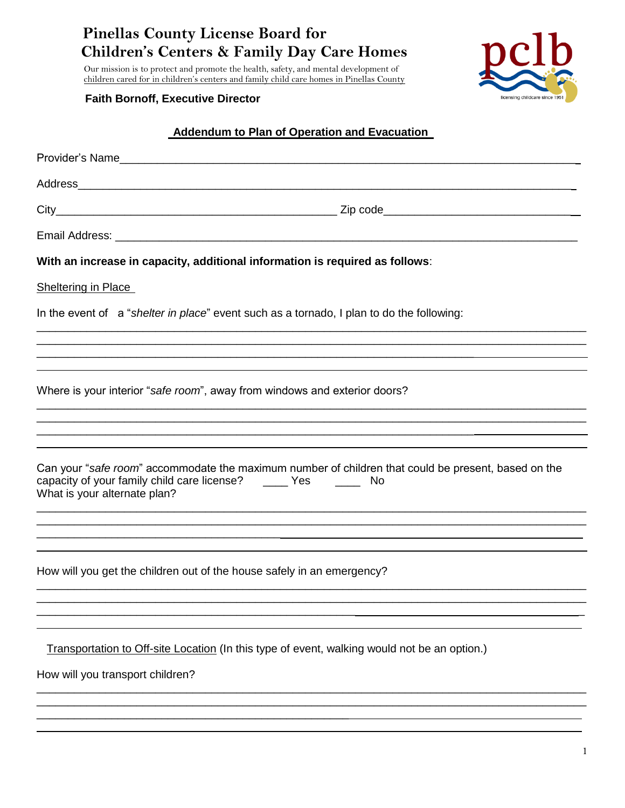**Pinellas County License Board for Children's Centers & Family Day Care Homes**

 Our mission is to protect and promote the health, safety, and mental development of children cared for in children's centers and family child care homes in Pinellas County

### **Faith Bornoff, Executive Director**

\_\_\_\_\_\_\_\_\_\_\_\_\_\_\_\_\_\_\_\_\_\_\_\_\_\_\_\_\_\_\_\_\_\_\_\_\_\_\_\_\_\_\_\_\_\_\_\_\_\_

 $\overline{a}$ 



### **Addendum to Plan of Operation and Evacuation**

|                                                                                           | Provider's Name                                                                                                                                                             |  |  |
|-------------------------------------------------------------------------------------------|-----------------------------------------------------------------------------------------------------------------------------------------------------------------------------|--|--|
|                                                                                           |                                                                                                                                                                             |  |  |
|                                                                                           |                                                                                                                                                                             |  |  |
|                                                                                           |                                                                                                                                                                             |  |  |
|                                                                                           | With an increase in capacity, additional information is required as follows:                                                                                                |  |  |
| <b>Sheltering in Place</b>                                                                |                                                                                                                                                                             |  |  |
| In the event of a "shelter in place" event such as a tornado, I plan to do the following: |                                                                                                                                                                             |  |  |
|                                                                                           |                                                                                                                                                                             |  |  |
|                                                                                           |                                                                                                                                                                             |  |  |
| Where is your interior "safe room", away from windows and exterior doors?                 |                                                                                                                                                                             |  |  |
|                                                                                           |                                                                                                                                                                             |  |  |
|                                                                                           |                                                                                                                                                                             |  |  |
| What is your alternate plan?                                                              | Can your "safe room" accommodate the maximum number of children that could be present, based on the<br>capacity of your family child care license? _______ Yes _________ No |  |  |
|                                                                                           |                                                                                                                                                                             |  |  |
|                                                                                           |                                                                                                                                                                             |  |  |
|                                                                                           | How will you get the children out of the house safely in an emergency?                                                                                                      |  |  |
|                                                                                           |                                                                                                                                                                             |  |  |
|                                                                                           |                                                                                                                                                                             |  |  |
|                                                                                           | Transportation to Off-site Location (In this type of event, walking would not be an option.)                                                                                |  |  |
| How will you transport children?                                                          |                                                                                                                                                                             |  |  |
|                                                                                           |                                                                                                                                                                             |  |  |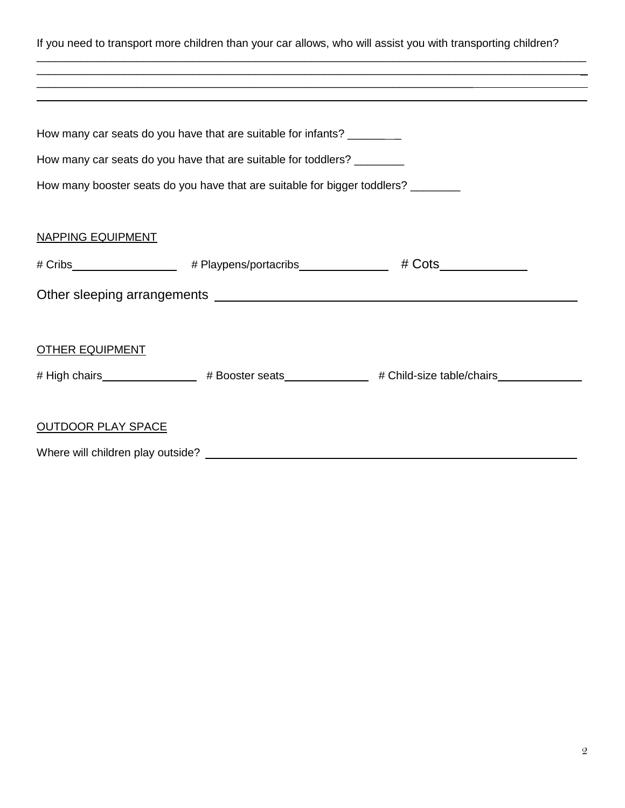If you need to transport more children than your car allows, who will assist you with transporting children? \_\_\_\_\_\_\_\_\_\_\_\_\_\_\_\_\_\_\_\_\_\_\_\_\_\_\_\_\_\_\_\_\_\_\_\_\_\_\_\_\_\_\_\_\_\_\_\_\_\_\_\_\_\_\_\_\_\_\_\_\_\_\_\_\_\_\_\_\_\_\_\_\_\_\_\_\_\_\_\_\_\_\_\_\_\_\_\_ \_\_\_\_\_\_\_\_\_\_\_\_\_\_\_\_\_\_\_\_\_\_\_\_\_\_\_\_\_\_\_\_\_\_\_\_\_\_\_\_\_\_\_\_\_\_\_\_\_\_\_\_\_\_\_\_\_\_\_\_\_\_\_\_\_\_\_\_\_\_\_\_\_\_\_\_\_\_\_\_\_\_\_\_\_\_\_ \_\_\_\_\_\_\_\_\_\_\_\_\_\_\_\_\_\_\_\_\_\_\_\_\_\_\_\_\_\_\_\_\_\_\_\_\_\_\_\_\_\_\_\_\_\_\_\_\_\_\_\_\_\_\_\_\_\_\_\_\_\_\_\_\_\_\_\_\_\_  $\overline{a}$ How many car seats do you have that are suitable for infants? \_\_\_\_\_\_\_\_ How many car seats do you have that are suitable for toddlers? \_\_\_\_\_\_\_\_ How many booster seats do you have that are suitable for bigger toddlers? \_\_\_\_\_\_\_ NAPPING EQUIPMENT # Cribs # Playpens/portacribs # Cots Other sleeping arrangements **contained and the set of the set of the set of the set of the set of the set of the set of the set of the set of the set of the set of the set of the set of the set of the set of the set of the** OTHER EQUIPMENT # High chairs \_\_\_\_\_\_\_\_\_\_\_\_\_\_\_\_\_ # Booster seats \_\_\_\_\_\_\_\_\_\_\_\_ # Child-size table/chairs \_\_\_\_\_\_\_\_\_\_\_\_ OUTDOOR PLAY SPACE Where will children play outside?<br>
Where will children play outside?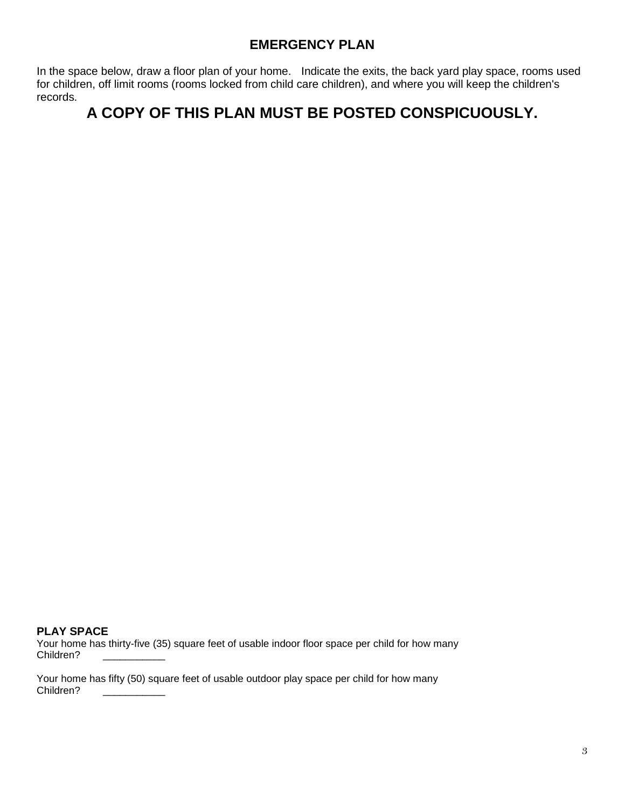## **EMERGENCY PLAN**

In the space below, draw a floor plan of your home. Indicate the exits, the back yard play space, rooms used for children, off limit rooms (rooms locked from child care children), and where you will keep the children's records.

# **A COPY OF THIS PLAN MUST BE POSTED CONSPICUOUSLY.**

#### **PLAY SPACE**

Your home has thirty-five (35) square feet of usable indoor floor space per child for how many Children?

Your home has fifty (50) square feet of usable outdoor play space per child for how many Children?